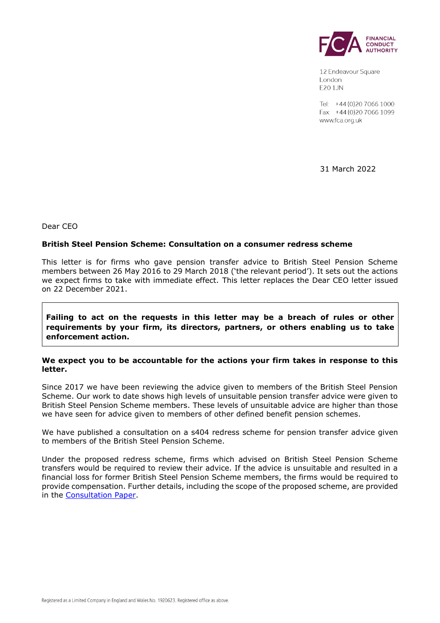

12 Endeavour Square London E201JN

Tel: +44 (0) 20 7066 1000 Fax: +44 (0) 20 7066 1099 www.fca.org.uk

31 March 2022

Dear CEO

### **British Steel Pension Scheme: Consultation on a consumer redress scheme**

This letter is for firms who gave pension transfer advice to British Steel Pension Scheme members between 26 May 2016 to 29 March 2018 ('the relevant period'). It sets out the actions we expect firms to take with immediate effect. This letter replaces the Dear CEO letter issued on 22 December 2021.

**Failing to act on the requests in this letter may be a breach of rules or other requirements by your firm, its directors, partners, or others enabling us to take enforcement action.**

### **We expect you to be accountable for the actions your firm takes in response to this letter.**

Since 2017 we have been reviewing the advice given to members of the British Steel Pension Scheme. Our work to date shows high levels of unsuitable pension transfer advice were given to British Steel Pension Scheme members. These levels of unsuitable advice are higher than those we have seen for advice given to members of other defined benefit pension schemes.

We have published a consultation on a s404 redress scheme for pension transfer advice given to members of the British Steel Pension Scheme.

Under the proposed redress scheme, firms which advised on British Steel Pension Scheme transfers would be required to review their advice. If the advice is unsuitable and resulted in a financial loss for former British Steel Pension Scheme members, the firms would be required to provide compensation. Further details, including the scope of the proposed scheme, are provided in the [Consultation Paper.](https://www.fca.org.uk/publication/consultation/cp22-6.pdf)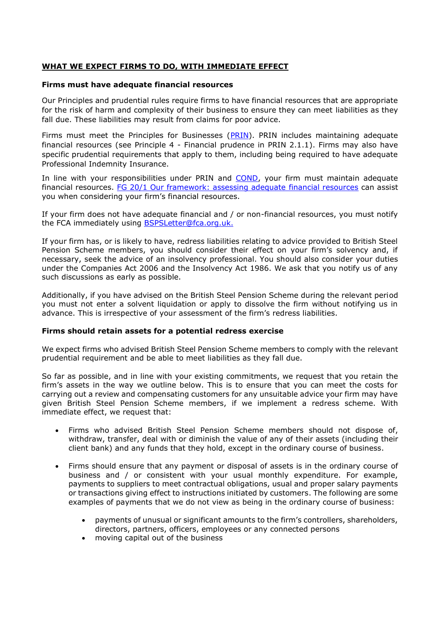# **WHAT WE EXPECT FIRMS TO DO, WITH IMMEDIATE EFFECT**

### **Firms must have adequate financial resources**

Our Principles and prudential rules require firms to have financial resources that are appropriate for the risk of harm and complexity of their business to ensure they can meet liabilities as they fall due. These liabilities may result from claims for poor advice.

Firms must meet the Principles for Businesses [\(PRIN\)](https://www.handbook.fca.org.uk/handbook/PRIN/). PRIN includes maintaining adequate financial resources (see Principle 4 - Financial prudence in PRIN 2.1.1). Firms may also have specific prudential requirements that apply to them, including being required to have adequate Professional Indemnity Insurance.

In line with your responsibilities under PRIN and [COND,](https://www.handbook.fca.org.uk/handbook/COND/) your firm must maintain adequate financial resources. [FG 20/1 Our framework: assessing adequate financial resources](https://www.fca.org.uk/publication/finalised-guidance/fg20-1.pdf) can assist you when considering your firm's financial resources.

If your firm does not have adequate financial and / or non-financial resources, you must notify the FCA immediately using [BSPSLetter@fca.org.uk.](mailto:BSPSLetter@fca.org.uk)

If your firm has, or is likely to have, redress liabilities relating to advice provided to British Steel Pension Scheme members, you should consider their effect on your firm's solvency and, if necessary, seek the advice of an insolvency professional. You should also consider your duties under the Companies Act 2006 and the Insolvency Act 1986. We ask that you notify us of any such discussions as early as possible.

Additionally, if you have advised on the British Steel Pension Scheme during the relevant period you must not enter a solvent liquidation or apply to dissolve the firm without notifying us in advance. This is irrespective of your assessment of the firm's redress liabilities.

### **Firms should retain assets for a potential redress exercise**

We expect firms who advised British Steel Pension Scheme members to comply with the relevant prudential requirement and be able to meet liabilities as they fall due.

So far as possible, and in line with your existing commitments, we request that you retain the firm's assets in the way we outline below. This is to ensure that you can meet the costs for carrying out a review and compensating customers for any unsuitable advice your firm may have given British Steel Pension Scheme members, if we implement a redress scheme. With immediate effect, we request that:

- Firms who advised British Steel Pension Scheme members should not dispose of, withdraw, transfer, deal with or diminish the value of any of their assets (including their client bank) and any funds that they hold, except in the ordinary course of business.
- Firms should ensure that any payment or disposal of assets is in the ordinary course of business and / or consistent with your usual monthly expenditure. For example, payments to suppliers to meet contractual obligations, usual and proper salary payments or transactions giving effect to instructions initiated by customers. The following are some examples of payments that we do not view as being in the ordinary course of business:
	- payments of unusual or significant amounts to the firm's controllers, shareholders, directors, partners, officers, employees or any connected persons
	- moving capital out of the business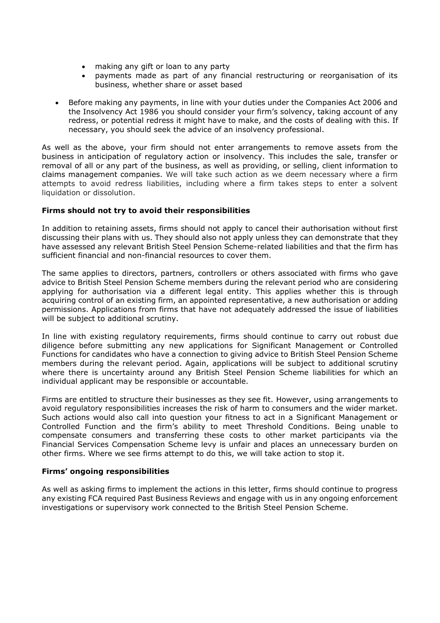- making any gift or loan to any party
- payments made as part of any financial restructuring or reorganisation of its business, whether share or asset based
- Before making any payments, in line with your duties under the Companies Act 2006 and the Insolvency Act 1986 you should consider your firm's solvency, taking account of any redress, or potential redress it might have to make, and the costs of dealing with this. If necessary, you should seek the advice of an insolvency professional.

As well as the above, your firm should not enter arrangements to remove assets from the business in anticipation of regulatory action or insolvency. This includes the sale, transfer or removal of all or any part of the business, as well as providing, or selling, client information to claims management companies. We will take such action as we deem necessary where a firm attempts to avoid redress liabilities, including where a firm takes steps to enter a solvent liquidation or dissolution.

# **Firms should not try to avoid their responsibilities**

In addition to retaining assets, firms should not apply to cancel their authorisation without first discussing their plans with us. They should also not apply unless they can demonstrate that they have assessed any relevant British Steel Pension Scheme-related liabilities and that the firm has sufficient financial and non-financial resources to cover them.

The same applies to directors, partners, controllers or others associated with firms who gave advice to British Steel Pension Scheme members during the relevant period who are considering applying for authorisation via a different legal entity. This applies whether this is through acquiring control of an existing firm, an appointed representative, a new authorisation or adding permissions. Applications from firms that have not adequately addressed the issue of liabilities will be subject to additional scrutiny.

In line with existing regulatory requirements, firms should continue to carry out robust due diligence before submitting any new applications for Significant Management or Controlled Functions for candidates who have a connection to giving advice to British Steel Pension Scheme members during the relevant period. Again, applications will be subject to additional scrutiny where there is uncertainty around any British Steel Pension Scheme liabilities for which an individual applicant may be responsible or accountable.

Firms are entitled to structure their businesses as they see fit. However, using arrangements to avoid regulatory responsibilities increases the risk of harm to consumers and the wider market. Such actions would also call into question your fitness to act in a Significant Management or Controlled Function and the firm's ability to meet Threshold Conditions. Being unable to compensate consumers and transferring these costs to other market participants via the Financial Services Compensation Scheme levy is unfair and places an unnecessary burden on other firms. Where we see firms attempt to do this, we will take action to stop it.

### **Firms' ongoing responsibilities**

As well as asking firms to implement the actions in this letter, firms should continue to progress any existing FCA required Past Business Reviews and engage with us in any ongoing enforcement investigations or supervisory work connected to the British Steel Pension Scheme.